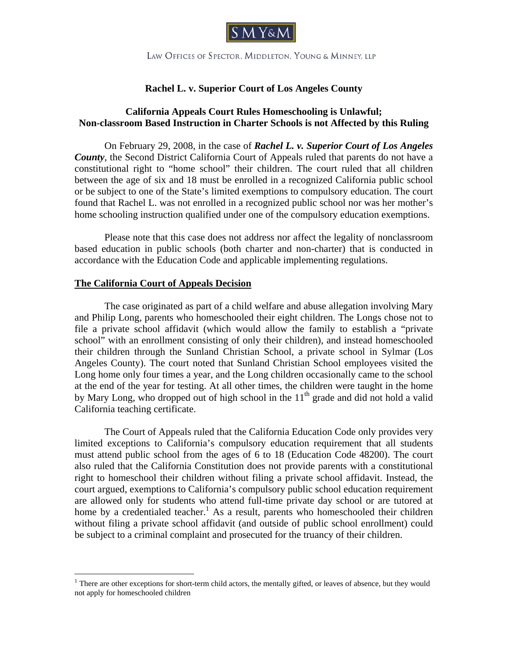

LAW OFFICES OF SPECTOR. MIDDLETON, YOUNG & MINNEY, LLP

# **Rachel L. v. Superior Court of Los Angeles County**

# **California Appeals Court Rules Homeschooling is Unlawful; Non-classroom Based Instruction in Charter Schools is not Affected by this Ruling**

On February 29, 2008, in the case of *Rachel L. v. Superior Court of Los Angeles County*, the Second District California Court of Appeals ruled that parents do not have a constitutional right to "home school" their children. The court ruled that all children between the age of six and 18 must be enrolled in a recognized California public school or be subject to one of the State's limited exemptions to compulsory education. The court found that Rachel L. was not enrolled in a recognized public school nor was her mother's home schooling instruction qualified under one of the compulsory education exemptions.

Please note that this case does not address nor affect the legality of nonclassroom based education in public schools (both charter and non-charter) that is conducted in accordance with the Education Code and applicable implementing regulations.

### **The California Court of Appeals Decision**

 $\overline{a}$ 

The case originated as part of a child welfare and abuse allegation involving Mary and Philip Long, parents who homeschooled their eight children. The Longs chose not to file a private school affidavit (which would allow the family to establish a "private school" with an enrollment consisting of only their children), and instead homeschooled their children through the Sunland Christian School, a private school in Sylmar (Los Angeles County). The court noted that Sunland Christian School employees visited the Long home only four times a year, and the Long children occasionally came to the school at the end of the year for testing. At all other times, the children were taught in the home by Mary Long, who dropped out of high school in the  $11<sup>th</sup>$  grade and did not hold a valid California teaching certificate.

The Court of Appeals ruled that the California Education Code only provides very limited exceptions to California's compulsory education requirement that all students must attend public school from the ages of 6 to 18 (Education Code 48200). The court also ruled that the California Constitution does not provide parents with a constitutional right to homeschool their children without filing a private school affidavit. Instead, the court argued, exemptions to California's compulsory public school education requirement are allowed only for students who attend full-time private day school or are tutored at home by a credentialed teacher.<sup>1</sup> As a result, parents who homeschooled their children without filing a private school affidavit (and outside of public school enrollment) could be subject to a criminal complaint and prosecuted for the truancy of their children.

<sup>&</sup>lt;sup>1</sup> There are other exceptions for short-term child actors, the mentally gifted, or leaves of absence, but they would not apply for homeschooled children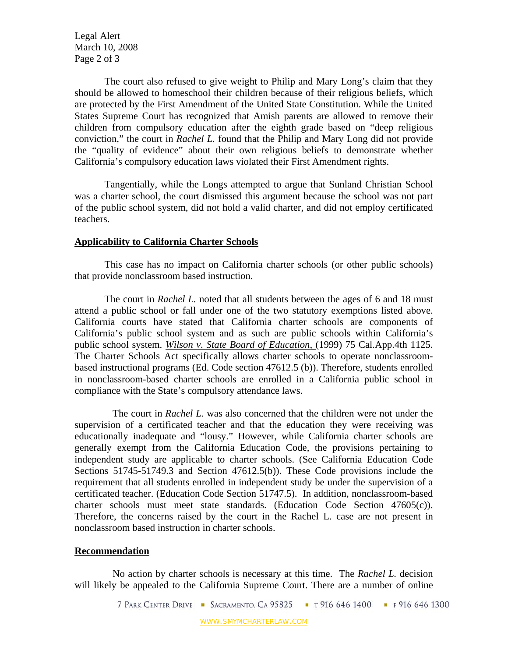Legal Alert March 10, 2008 Page 2 of 3

The court also refused to give weight to Philip and Mary Long's claim that they should be allowed to homeschool their children because of their religious beliefs, which are protected by the First Amendment of the United State Constitution. While the United States Supreme Court has recognized that Amish parents are allowed to remove their children from compulsory education after the eighth grade based on "deep religious conviction," the court in *Rachel L.* found that the Philip and Mary Long did not provide the "quality of evidence" about their own religious beliefs to demonstrate whether California's compulsory education laws violated their First Amendment rights.

Tangentially, while the Longs attempted to argue that Sunland Christian School was a charter school, the court dismissed this argument because the school was not part of the public school system, did not hold a valid charter, and did not employ certificated teachers.

### **Applicability to California Charter Schools**

This case has no impact on California charter schools (or other public schools) that provide nonclassroom based instruction.

The court in *Rachel L.* noted that all students between the ages of 6 and 18 must attend a public school or fall under one of the two statutory exemptions listed above. California courts have stated that California charter schools are components of California's public school system and as such are public schools within California's public school system. *Wilson v. State Board of Education*, (1999) 75 Cal.App.4th 1125. The Charter Schools Act specifically allows charter schools to operate nonclassroombased instructional programs (Ed. Code section 47612.5 (b)). Therefore, students enrolled in nonclassroom-based charter schools are enrolled in a California public school in compliance with the State's compulsory attendance laws.

 The court in *Rachel L.* was also concerned that the children were not under the supervision of a certificated teacher and that the education they were receiving was educationally inadequate and "lousy." However, while California charter schools are generally exempt from the California Education Code, the provisions pertaining to independent study are applicable to charter schools. (See California Education Code Sections 51745-51749.3 and Section 47612.5(b)). These Code provisions include the requirement that all students enrolled in independent study be under the supervision of a certificated teacher. (Education Code Section 51747.5). In addition, nonclassroom-based charter schools must meet state standards. (Education Code Section 47605(c)). Therefore, the concerns raised by the court in the Rachel L. case are not present in nonclassroom based instruction in charter schools.

#### **Recommendation**

 No action by charter schools is necessary at this time. The *Rachel L.* decision will likely be appealed to the California Supreme Court. There are a number of online